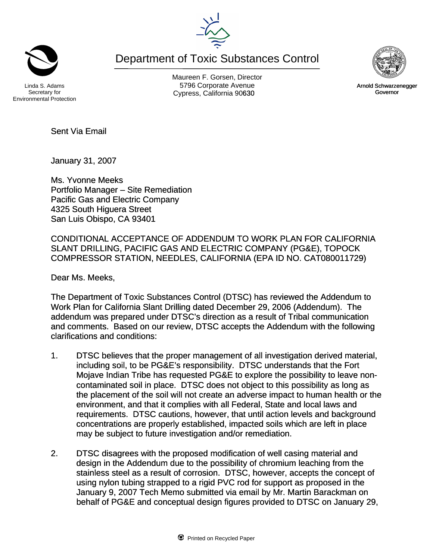Department of Toxic Substances Control



Maureen F. Gorsen, Director Linda S. Adams **Example 20 Constructs** S796 Corporate Avenu

Secretary for Environmental Protection

Sent Via Email

January 31, 2007

Ms. Yvonne Meeks Portfolio Manager – Site Remediation Pacific Gas and Electric Company 4325 South Higuera Street San Luis Obispo, CA 93401

CONDITIONAL ACCEPTANCE OF ADDENDUM TO WORK PLAN FOR CALIFORNIA SLANT DRILLING, PACIFIC GAS AND ELECTRIC COMPANY (PG&E), TOPOCK COMPRESSOR STATION, NEEDLES, CALIFORNIA (EPA ID NO. CAT080011729)

Dear Ms. Meeks,

The Department of Toxic Substances Control (DTSC) has reviewed the Addendum to Work Plan for California Slant Drilling dated December 29, 2006 (Addendum). The addendum was prepared under DTSC's direction as a result of Tribal communication and comments. Based on our review, DTSC accepts the Addendum with the following clarifications and conditions:

- 1. DTSC believes that the proper management of all investigation derived material, including soil, to be PG&E's responsibility. DTSC understands that the Fort Mojave Indian Tribe has requested PG&E to explore the possibility to leave noncontaminated soil in place. DTSC does not object to this possibility as long as the placement of the soil will not create an adverse impact to human health or the environment, and that it complies with all Federal, State and local laws and requirements. DTSC cautions, however, that until action levels and background concentrations are properly established, impacted soils which are left in place may be subject to future investigation and/or remediation.
- 2. DTSC disagrees with the proposed modification of well casing material and design in the Addendum due to the possibility of chromium leaching from the stainless steel as a result of corrosion. DTSC, however, accepts the concept of using nylon tubing strapped to a rigid PVC rod for support as proposed in the January 9, 2007 Tech Memo submitted via email by Mr. Martin Barackman on behalf of PG&E and conceptual design figures provided to DTSC on January 29,



Cypress, California 90630 **Canadian Cypress**, California 90630 Arnold Schwarzenegger Governor